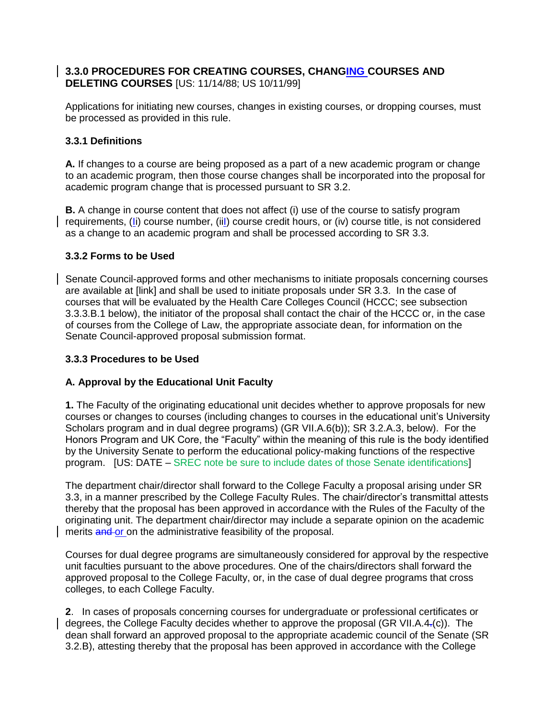### **3.3.0 PROCEDURES FOR CREATING COURSES, CHANGING COURSES AND DELETING COURSES** [US: 11/14/88; US 10/11/99]

Applications for initiating new courses, changes in existing courses, or dropping courses, must be processed as provided in this rule.

### **3.3.1 Definitions**

**A.** If changes to a course are being proposed as a part of a new academic program or change to an academic program, then those course changes shall be incorporated into the proposal for academic program change that is processed pursuant to SR 3.2.

**B.** A change in course content that does not affect (i) use of the course to satisfy program requirements, (Ii) course number, (iiI) course credit hours, or (iv) course title, is not considered as a change to an academic program and shall be processed according to SR 3.3.

### **3.3.2 Forms to be Used**

Senate Council-approved forms and other mechanisms to initiate proposals concerning courses are available at [link] and shall be used to initiate proposals under SR 3.3. In the case of courses that will be evaluated by the Health Care Colleges Council (HCCC; see subsection 3.3.3.B.1 below), the initiator of the proposal shall contact the chair of the HCCC or, in the case of courses from the College of Law, the appropriate associate dean, for information on the Senate Council-approved proposal submission format.

#### **3.3.3 Procedures to be Used**

## **A. Approval by the Educational Unit Faculty**

**1.** The Faculty of the originating educational unit decides whether to approve proposals for new courses or changes to courses (including changes to courses in the educational unit"s University Scholars program and in dual degree programs) (GR VII.A.6(b)); SR 3.2.A.3, below). For the Honors Program and UK Core, the "Faculty" within the meaning of this rule is the body identified by the University Senate to perform the educational policy-making functions of the respective program. [US: DATE – SREC note be sure to include dates of those Senate identifications]

The department chair/director shall forward to the College Faculty a proposal arising under SR 3.3, in a manner prescribed by the College Faculty Rules. The chair/director's transmittal attests thereby that the proposal has been approved in accordance with the Rules of the Faculty of the originating unit. The department chair/director may include a separate opinion on the academic merits and or on the administrative feasibility of the proposal.

Courses for dual degree programs are simultaneously considered for approval by the respective unit faculties pursuant to the above procedures. One of the chairs/directors shall forward the approved proposal to the College Faculty, or, in the case of dual degree programs that cross colleges, to each College Faculty.

**2**. In cases of proposals concerning courses for undergraduate or professional certificates or degrees, the College Faculty decides whether to approve the proposal (GR VII.A.4.(c)). The dean shall forward an approved proposal to the appropriate academic council of the Senate (SR 3.2.B), attesting thereby that the proposal has been approved in accordance with the College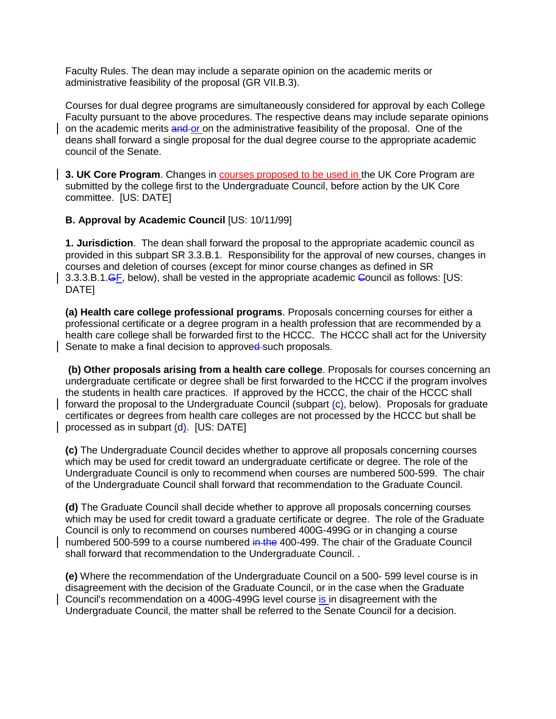Faculty Rules. The dean may include a separate opinion on the academic merits or administrative feasibility of the proposal (GR VII.B.3).

Courses for dual degree programs are simultaneously considered for approval by each College Faculty pursuant to the above procedures. The respective deans may include separate opinions on the academic merits and or on the administrative feasibility of the proposal. One of the deans shall forward a single proposal for the dual degree course to the appropriate academic council of the Senate.

**3. UK Core Program**. Changes in courses proposed to be used in the UK Core Program are submitted by the college first to the Undergraduate Council, before action by the UK Core committee. [US: DATE]

#### **B. Approval by Academic Council** [US: 10/11/99]

**1. Jurisdiction**. The dean shall forward the proposal to the appropriate academic council as provided in this subpart SR 3.3.B.1. Responsibility for the approval of new courses, changes in courses and deletion of courses (except for minor course changes as defined in SR 3.3.3.B.1.GF, below), shall be vested in the appropriate academic Council as follows: [US: DATE]

**(a) Health care college professional programs**. Proposals concerning courses for either a professional certificate or a degree program in a health profession that are recommended by a health care college shall be forwarded first to the HCCC. The HCCC shall act for the University Senate to make a final decision to approved such proposals.

**(b) Other proposals arising from a health care college**. Proposals for courses concerning an undergraduate certificate or degree shall be first forwarded to the HCCC if the program involves the students in health care practices. If approved by the HCCC, the chair of the HCCC shall forward the proposal to the Undergraduate Council (subpart (c), below). Proposals for graduate certificates or degrees from health care colleges are not processed by the HCCC but shall be processed as in subpart (d). [US: DATE]

**(c)** The Undergraduate Council decides whether to approve all proposals concerning courses which may be used for credit toward an undergraduate certificate or degree. The role of the Undergraduate Council is only to recommend when courses are numbered 500-599. The chair of the Undergraduate Council shall forward that recommendation to the Graduate Council.

**(d)** The Graduate Council shall decide whether to approve all proposals concerning courses which may be used for credit toward a graduate certificate or degree. The role of the Graduate Council is only to recommend on courses numbered 400G-499G or in changing a course numbered 500-599 to a course numbered in the 400-499. The chair of the Graduate Council shall forward that recommendation to the Undergraduate Council. .

**(e)** Where the recommendation of the Undergraduate Council on a 500- 599 level course is in disagreement with the decision of the Graduate Council, or in the case when the Graduate Council's recommendation on a 400G-499G level course is in disagreement with the Undergraduate Council, the matter shall be referred to the Senate Council for a decision.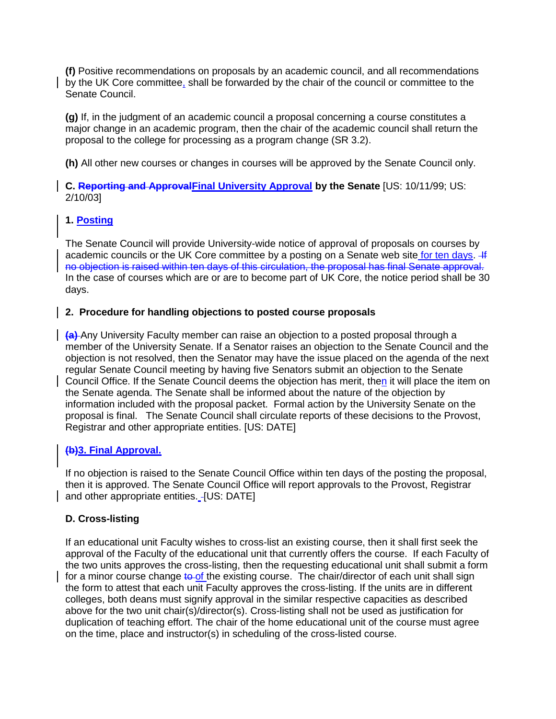**(f)** Positive recommendations on proposals by an academic council, and all recommendations by the UK Core committee, shall be forwarded by the chair of the council or committee to the Senate Council.

**(g)** If, in the judgment of an academic council a proposal concerning a course constitutes a major change in an academic program, then the chair of the academic council shall return the proposal to the college for processing as a program change (SR 3.2).

**(h)** All other new courses or changes in courses will be approved by the Senate Council only.

**C. Reporting and ApprovalFinal University Approval by the Senate** [US: 10/11/99; US: 2/10/03]

# **1. Posting**

The Senate Council will provide University-wide notice of approval of proposals on courses by academic councils or the UK Core committee by a posting on a Senate web site for ten days. 4 no objection is raised within ten days of this circulation, the proposal has final Senate approval. In the case of courses which are or are to become part of UK Core, the notice period shall be 30 days.

### **2. Procedure for handling objections to posted course proposals**

**(a)** Any University Faculty member can raise an objection to a posted proposal through a member of the University Senate. If a Senator raises an objection to the Senate Council and the objection is not resolved, then the Senator may have the issue placed on the agenda of the next regular Senate Council meeting by having five Senators submit an objection to the Senate Council Office. If the Senate Council deems the objection has merit, then it will place the item on the Senate agenda. The Senate shall be informed about the nature of the objection by information included with the proposal packet. Formal action by the University Senate on the proposal is final. The Senate Council shall circulate reports of these decisions to the Provost, Registrar and other appropriate entities. [US: DATE]

## **(b)3. Final Approval.**

If no objection is raised to the Senate Council Office within ten days of the posting the proposal, then it is approved. The Senate Council Office will report approvals to the Provost, Registrar and other appropriate entities. [US: DATE]

## **D. Cross-listing**

If an educational unit Faculty wishes to cross-list an existing course, then it shall first seek the approval of the Faculty of the educational unit that currently offers the course. If each Faculty of the two units approves the cross-listing, then the requesting educational unit shall submit a form for a minor course change to of the existing course. The chair/director of each unit shall sign the form to attest that each unit Faculty approves the cross-listing. If the units are in different colleges, both deans must signify approval in the similar respective capacities as described above for the two unit chair(s)/director(s). Cross-listing shall not be used as justification for duplication of teaching effort. The chair of the home educational unit of the course must agree on the time, place and instructor(s) in scheduling of the cross-listed course.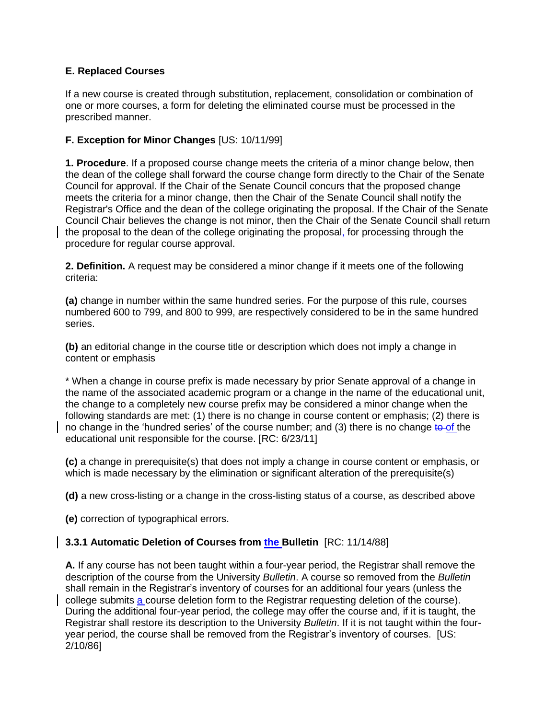## **E. Replaced Courses**

If a new course is created through substitution, replacement, consolidation or combination of one or more courses, a form for deleting the eliminated course must be processed in the prescribed manner.

### **F. Exception for Minor Changes** [US: 10/11/99]

**1. Procedure**. If a proposed course change meets the criteria of a minor change below, then the dean of the college shall forward the course change form directly to the Chair of the Senate Council for approval. If the Chair of the Senate Council concurs that the proposed change meets the criteria for a minor change, then the Chair of the Senate Council shall notify the Registrar's Office and the dean of the college originating the proposal. If the Chair of the Senate Council Chair believes the change is not minor, then the Chair of the Senate Council shall return the proposal to the dean of the college originating the proposal, for processing through the procedure for regular course approval.

**2. Definition.** A request may be considered a minor change if it meets one of the following criteria:

**(a)** change in number within the same hundred series. For the purpose of this rule, courses numbered 600 to 799, and 800 to 999, are respectively considered to be in the same hundred series.

**(b)** an editorial change in the course title or description which does not imply a change in content or emphasis

\* When a change in course prefix is made necessary by prior Senate approval of a change in the name of the associated academic program or a change in the name of the educational unit, the change to a completely new course prefix may be considered a minor change when the following standards are met: (1) there is no change in course content or emphasis; (2) there is no change in the 'hundred series' of the course number; and (3) there is no change to of the educational unit responsible for the course. [RC: 6/23/11]

**(c)** a change in prerequisite(s) that does not imply a change in course content or emphasis, or which is made necessary by the elimination or significant alteration of the prerequisite(s)

**(d)** a new cross-listing or a change in the cross-listing status of a course, as described above

**(e)** correction of typographical errors.

#### **3.3.1 Automatic Deletion of Courses from the Bulletin** [RC: 11/14/88]

**A.** If any course has not been taught within a four-year period, the Registrar shall remove the description of the course from the University *Bulletin*. A course so removed from the *Bulletin*  shall remain in the Registrar"s inventory of courses for an additional four years (unless the college submits a course deletion form to the Registrar requesting deletion of the course). During the additional four-year period, the college may offer the course and, if it is taught, the Registrar shall restore its description to the University *Bulletin*. If it is not taught within the fouryear period, the course shall be removed from the Registrar"s inventory of courses. [US: 2/10/86]